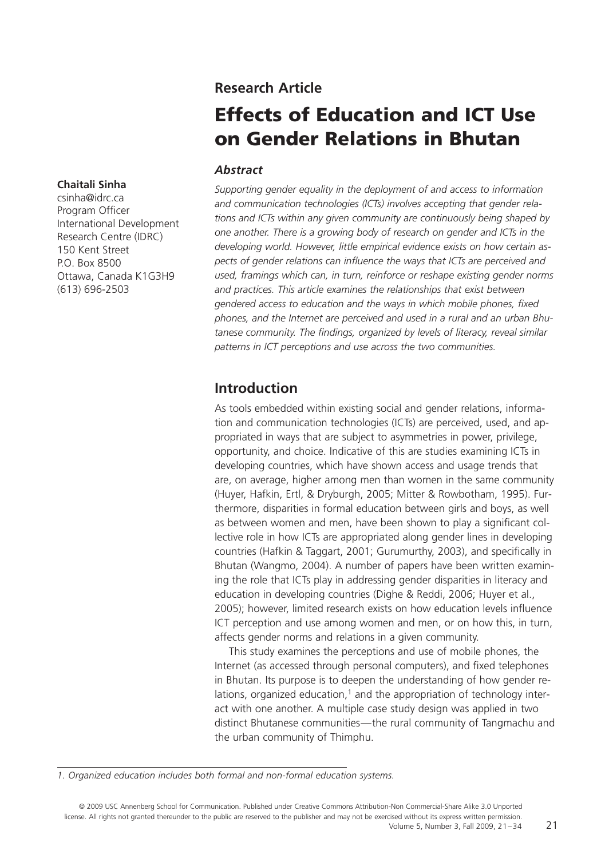#### **Research Article**

# **Effects of Education and ICT Use on Gender Relations in Bhutan**

#### *Abstract*

*Supporting gender equality in the deployment of and access to information and communication technologies (ICTs) involves accepting that gender relations and ICTs within any given community are continuously being shaped by one another. There is a growing body of research on gender and ICTs in the developing world. However, little empirical evidence exists on how certain as*pects of gender relations can influence the ways that ICTs are perceived and *used, framings which can, in turn, reinforce or reshape existing gender norms and practices. This article examines the relationships that exist between* gendered access to education and the ways in which mobile phones, fixed *phones, and the Internet are perceived and used in a rural and an urban Bhu*tanese community. The findings, organized by levels of literacy, reveal similar *patterns in ICT perceptions and use across the two communities.*

#### **Introduction**

As tools embedded within existing social and gender relations, information and communication technologies (ICTs) are perceived, used, and appropriated in ways that are subject to asymmetries in power, privilege, opportunity, and choice. Indicative of this are studies examining ICTs in developing countries, which have shown access and usage trends that are, on average, higher among men than women in the same community (Huyer, Hafkin, Ertl, & Dryburgh, 2005; Mitter & Rowbotham, 1995). Furthermore, disparities in formal education between girls and boys, as well as between women and men, have been shown to play a significant collective role in how ICTs are appropriated along gender lines in developing countries (Hafkin & Taggart, 2001; Gurumurthy, 2003), and specifically in Bhutan (Wangmo, 2004). A number of papers have been written examining the role that ICTs play in addressing gender disparities in literacy and education in developing countries (Dighe & Reddi, 2006; Huyer et al., 2005); however, limited research exists on how education levels influence ICT perception and use among women and men, or on how this, in turn, affects gender norms and relations in a given community.

This study examines the perceptions and use of mobile phones, the Internet (as accessed through personal computers), and fixed telephones in Bhutan. Its purpose is to deepen the understanding of how gender relations, organized education, $<sup>1</sup>$  and the appropriation of technology inter-</sup> act with one another. A multiple case study design was applied in two distinct Bhutanese communities—the rural community of Tangmachu and the urban community of Thimphu.

#### **Chaitali Sinha**

csinha@idrc.ca Program Officer International Development Research Centre (IDRC) 150 Kent Street P.O. Box 8500 Ottawa, Canada K1G3H9 (613) 696-2503

*<sup>1.</sup> Organized education includes both formal and non-formal education systems.*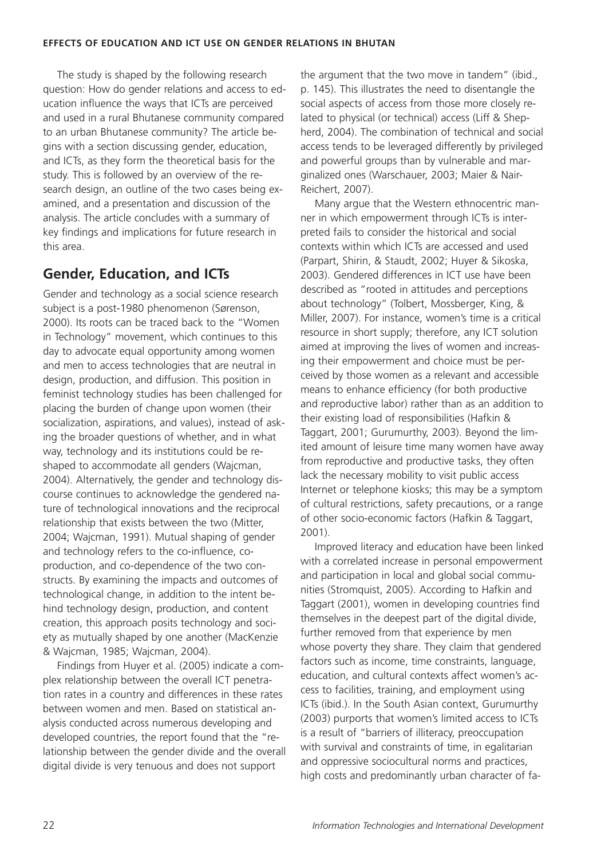The study is shaped by the following research question: How do gender relations and access to education influence the ways that ICTs are perceived and used in a rural Bhutanese community compared to an urban Bhutanese community? The article begins with a section discussing gender, education, and ICTs, as they form the theoretical basis for the study. This is followed by an overview of the research design, an outline of the two cases being examined, and a presentation and discussion of the analysis. The article concludes with a summary of key findings and implications for future research in this area.

## **Gender, Education, and ICTs**

Gender and technology as a social science research subject is a post-1980 phenomenon (Sørenson, 2000). Its roots can be traced back to the "Women in Technology" movement, which continues to this day to advocate equal opportunity among women and men to access technologies that are neutral in design, production, and diffusion. This position in feminist technology studies has been challenged for placing the burden of change upon women (their socialization, aspirations, and values), instead of asking the broader questions of whether, and in what way, technology and its institutions could be reshaped to accommodate all genders (Wajcman, 2004). Alternatively, the gender and technology discourse continues to acknowledge the gendered nature of technological innovations and the reciprocal relationship that exists between the two (Mitter, 2004; Wajcman, 1991). Mutual shaping of gender and technology refers to the co-influence, coproduction, and co-dependence of the two constructs. By examining the impacts and outcomes of technological change, in addition to the intent behind technology design, production, and content creation, this approach posits technology and society as mutually shaped by one another (MacKenzie & Wajcman, 1985; Wajcman, 2004).

Findings from Huyer et al. (2005) indicate a complex relationship between the overall ICT penetration rates in a country and differences in these rates between women and men. Based on statistical analysis conducted across numerous developing and developed countries, the report found that the "relationship between the gender divide and the overall digital divide is very tenuous and does not support

the argument that the two move in tandem" (ibid., p. 145). This illustrates the need to disentangle the social aspects of access from those more closely related to physical (or technical) access (Liff & Shepherd, 2004). The combination of technical and social access tends to be leveraged differently by privileged and powerful groups than by vulnerable and marginalized ones (Warschauer, 2003; Maier & Nair-Reichert, 2007).

Many argue that the Western ethnocentric manner in which empowerment through ICTs is interpreted fails to consider the historical and social contexts within which ICTs are accessed and used (Parpart, Shirin, & Staudt, 2002; Huyer & Sikoska, 2003). Gendered differences in ICT use have been described as "rooted in attitudes and perceptions about technology" (Tolbert, Mossberger, King, & Miller, 2007). For instance, women's time is a critical resource in short supply; therefore, any ICT solution aimed at improving the lives of women and increasing their empowerment and choice must be perceived by those women as a relevant and accessible means to enhance efficiency (for both productive and reproductive labor) rather than as an addition to their existing load of responsibilities (Hafkin & Taggart, 2001; Gurumurthy, 2003). Beyond the limited amount of leisure time many women have away from reproductive and productive tasks, they often lack the necessary mobility to visit public access Internet or telephone kiosks; this may be a symptom of cultural restrictions, safety precautions, or a range of other socio-economic factors (Hafkin & Taggart, 2001).

Improved literacy and education have been linked with a correlated increase in personal empowerment and participation in local and global social communities (Stromquist, 2005). According to Hafkin and Taggart (2001), women in developing countries find themselves in the deepest part of the digital divide, further removed from that experience by men whose poverty they share. They claim that gendered factors such as income, time constraints, language, education, and cultural contexts affect women's access to facilities, training, and employment using ICTs (ibid.). In the South Asian context, Gurumurthy (2003) purports that women's limited access to ICTs is a result of "barriers of illiteracy, preoccupation with survival and constraints of time, in egalitarian and oppressive sociocultural norms and practices, high costs and predominantly urban character of fa-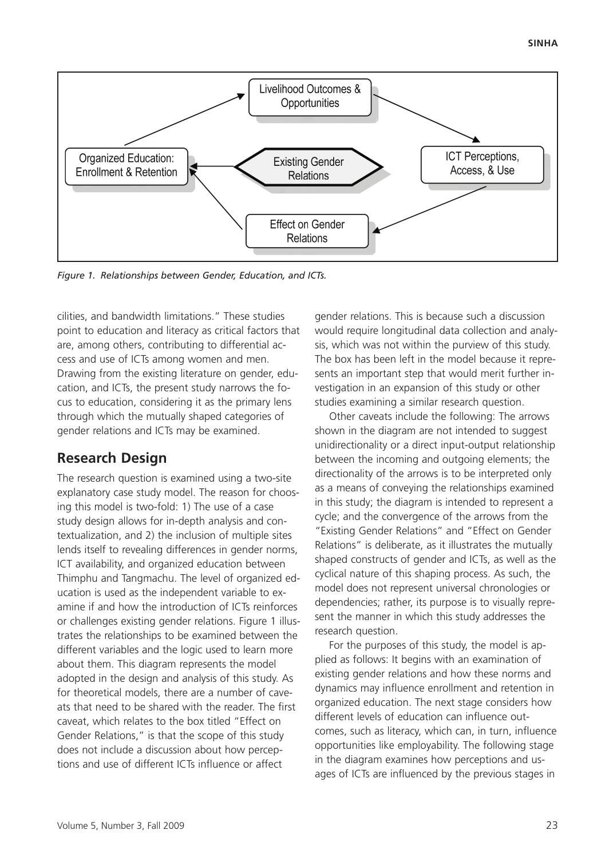

*Figure 1. Relationships between Gender, Education, and ICTs.*

cilities, and bandwidth limitations." These studies point to education and literacy as critical factors that are, among others, contributing to differential access and use of ICTs among women and men. Drawing from the existing literature on gender, education, and ICTs, the present study narrows the focus to education, considering it as the primary lens through which the mutually shaped categories of gender relations and ICTs may be examined.

## **Research Design**

The research question is examined using a two-site explanatory case study model. The reason for choosing this model is two-fold: 1) The use of a case study design allows for in-depth analysis and contextualization, and 2) the inclusion of multiple sites lends itself to revealing differences in gender norms, ICT availability, and organized education between Thimphu and Tangmachu. The level of organized education is used as the independent variable to examine if and how the introduction of ICTs reinforces or challenges existing gender relations. Figure 1 illustrates the relationships to be examined between the different variables and the logic used to learn more about them. This diagram represents the model adopted in the design and analysis of this study. As for theoretical models, there are a number of caveats that need to be shared with the reader. The first caveat, which relates to the box titled "Effect on Gender Relations," is that the scope of this study does not include a discussion about how perceptions and use of different ICTs influence or affect

gender relations. This is because such a discussion would require longitudinal data collection and analysis, which was not within the purview of this study. The box has been left in the model because it represents an important step that would merit further investigation in an expansion of this study or other studies examining a similar research question.

Other caveats include the following: The arrows shown in the diagram are not intended to suggest unidirectionality or a direct input-output relationship between the incoming and outgoing elements; the directionality of the arrows is to be interpreted only as a means of conveying the relationships examined in this study; the diagram is intended to represent a cycle; and the convergence of the arrows from the "Existing Gender Relations" and "Effect on Gender Relations" is deliberate, as it illustrates the mutually shaped constructs of gender and ICTs, as well as the cyclical nature of this shaping process. As such, the model does not represent universal chronologies or dependencies; rather, its purpose is to visually represent the manner in which this study addresses the research question.

For the purposes of this study, the model is applied as follows: It begins with an examination of existing gender relations and how these norms and dynamics may influence enrollment and retention in organized education. The next stage considers how different levels of education can influence outcomes, such as literacy, which can, in turn, influence opportunities like employability. The following stage in the diagram examines how perceptions and usages of ICTs are influenced by the previous stages in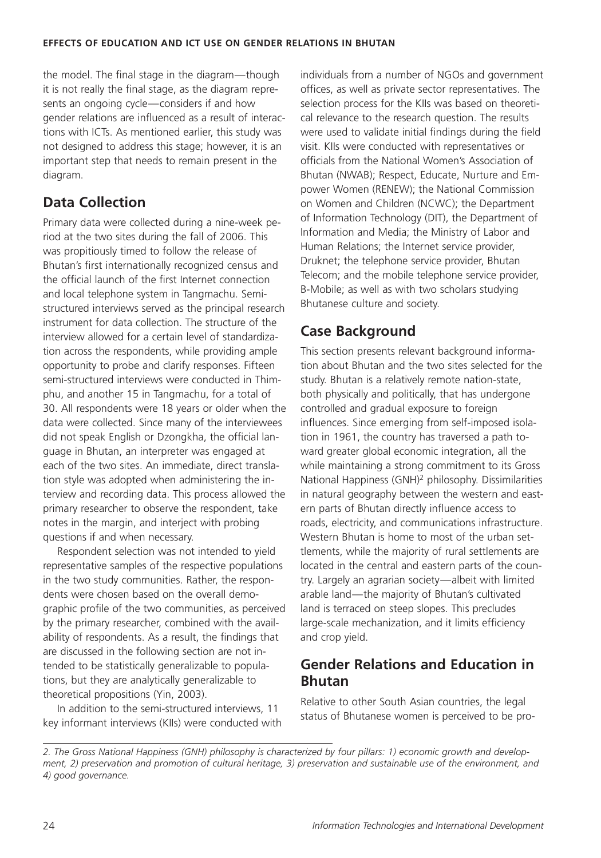the model. The final stage in the diagram—though it is not really the final stage, as the diagram represents an ongoing cycle—considers if and how gender relations are influenced as a result of interactions with ICTs. As mentioned earlier, this study was not designed to address this stage; however, it is an important step that needs to remain present in the diagram.

# **Data Collection**

Primary data were collected during a nine-week period at the two sites during the fall of 2006. This was propitiously timed to follow the release of Bhutan's first internationally recognized census and the official launch of the first Internet connection and local telephone system in Tangmachu. Semistructured interviews served as the principal research instrument for data collection. The structure of the interview allowed for a certain level of standardization across the respondents, while providing ample opportunity to probe and clarify responses. Fifteen semi-structured interviews were conducted in Thimphu, and another 15 in Tangmachu, for a total of 30. All respondents were 18 years or older when the data were collected. Since many of the interviewees did not speak English or Dzongkha, the official language in Bhutan, an interpreter was engaged at each of the two sites. An immediate, direct translation style was adopted when administering the interview and recording data. This process allowed the primary researcher to observe the respondent, take notes in the margin, and interject with probing questions if and when necessary.

Respondent selection was not intended to yield representative samples of the respective populations in the two study communities. Rather, the respondents were chosen based on the overall demographic profile of the two communities, as perceived by the primary researcher, combined with the availability of respondents. As a result, the findings that are discussed in the following section are not intended to be statistically generalizable to populations, but they are analytically generalizable to theoretical propositions (Yin, 2003).

In addition to the semi-structured interviews, 11 key informant interviews (KIIs) were conducted with individuals from a number of NGOs and government offices, as well as private sector representatives. The selection process for the KIIs was based on theoretical relevance to the research question. The results were used to validate initial findings during the field visit. KIIs were conducted with representatives or officials from the National Women's Association of Bhutan (NWAB); Respect, Educate, Nurture and Empower Women (RENEW); the National Commission on Women and Children (NCWC); the Department of Information Technology (DIT), the Department of Information and Media; the Ministry of Labor and Human Relations; the Internet service provider, Druknet; the telephone service provider, Bhutan Telecom; and the mobile telephone service provider, B-Mobile; as well as with two scholars studying Bhutanese culture and society.

# **Case Background**

This section presents relevant background information about Bhutan and the two sites selected for the study. Bhutan is a relatively remote nation-state, both physically and politically, that has undergone controlled and gradual exposure to foreign influences. Since emerging from self-imposed isolation in 1961, the country has traversed a path toward greater global economic integration, all the while maintaining a strong commitment to its Gross National Happiness (GNH)2 philosophy. Dissimilarities in natural geography between the western and eastern parts of Bhutan directly influence access to roads, electricity, and communications infrastructure. Western Bhutan is home to most of the urban settlements, while the majority of rural settlements are located in the central and eastern parts of the country. Largely an agrarian society—albeit with limited arable land—the majority of Bhutan's cultivated land is terraced on steep slopes. This precludes large-scale mechanization, and it limits efficiency and crop yield.

# **Gender Relations and Education in Bhutan**

Relative to other South Asian countries, the legal status of Bhutanese women is perceived to be pro-

*<sup>2.</sup> The Gross National Happiness (GNH) philosophy is characterized by four pillars: 1) economic growth and development, 2) preservation and promotion of cultural heritage, 3) preservation and sustainable use of the environment, and 4) good governance.*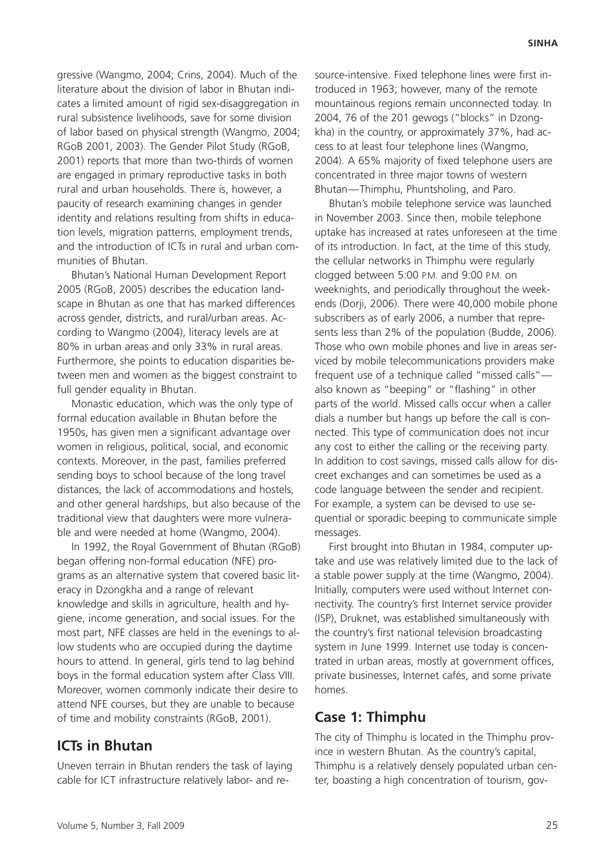gressive (Wangmo, 2004; Crins, 2004). Much of the literature about the division of labor in Bhutan indicates a limited amount of rigid sex-disaggregation in rural subsistence livelihoods, save for some division of labor based on physical strength (Wangmo, 2004; RGoB 2001, 2003). The Gender Pilot Study (RGoB, 2001) reports that more than two-thirds of women are engaged in primary reproductive tasks in both rural and urban households. There is, however, a paucity of research examining changes in gender identity and relations resulting from shifts in education levels, migration patterns, employment trends, and the introduction of ICTs in rural and urban communities of Bhutan.

Bhutan's National Human Development Report 2005 (RGoB, 2005) describes the education landscape in Bhutan as one that has marked differences across gender, districts, and rural/urban areas. According to Wangmo (2004), literacy levels are at 80% in urban areas and only 33% in rural areas. Furthermore, she points to education disparities between men and women as the biggest constraint to full gender equality in Bhutan.

Monastic education, which was the only type of formal education available in Bhutan before the 1950s, has given men a significant advantage over women in religious, political, social, and economic contexts. Moreover, in the past, families preferred sending boys to school because of the long travel distances, the lack of accommodations and hostels, and other general hardships, but also because of the traditional view that daughters were more vulnerable and were needed at home (Wangmo, 2004).

In 1992, the Royal Government of Bhutan (RGoB) began offering non-formal education (NFE) programs as an alternative system that covered basic literacy in Dzongkha and a range of relevant knowledge and skills in agriculture, health and hygiene, income generation, and social issues. For the most part, NFE classes are held in the evenings to allow students who are occupied during the daytime hours to attend. In general, girls tend to lag behind boys in the formal education system after Class VIII. Moreover, women commonly indicate their desire to attend NFE courses, but they are unable to because of time and mobility constraints (RGoB, 2001).

#### **ICTs in Bhutan**

Uneven terrain in Bhutan renders the task of laying cable for ICT infrastructure relatively labor- and resource-intensive. Fixed telephone lines were first introduced in 1963; however, many of the remote mountainous regions remain unconnected today. In 2004, 76 of the 201 gewogs ("blocks" in Dzongkha) in the country, or approximately 37%, had access to at least four telephone lines (Wangmo, 2004). A 65% majority of fixed telephone users are concentrated in three major towns of western Bhutan—Thimphu, Phuntsholing, and Paro.

Bhutan's mobile telephone service was launched in November 2003. Since then, mobile telephone uptake has increased at rates unforeseen at the time of its introduction. In fact, at the time of this study, the cellular networks in Thimphu were regularly clogged between 5:00 P.M. and 9:00 P.M. on weeknights, and periodically throughout the weekends (Dorji, 2006). There were 40,000 mobile phone subscribers as of early 2006, a number that represents less than 2% of the population (Budde, 2006). Those who own mobile phones and live in areas serviced by mobile telecommunications providers make frequent use of a technique called "missed calls" also known as "beeping" or "flashing" in other parts of the world. Missed calls occur when a caller dials a number but hangs up before the call is connected. This type of communication does not incur any cost to either the calling or the receiving party. In addition to cost savings, missed calls allow for discreet exchanges and can sometimes be used as a code language between the sender and recipient. For example, a system can be devised to use sequential or sporadic beeping to communicate simple messages.

First brought into Bhutan in 1984, computer uptake and use was relatively limited due to the lack of a stable power supply at the time (Wangmo, 2004). Initially, computers were used without Internet connectivity. The country's first Internet service provider (ISP), Druknet, was established simultaneously with the country's first national television broadcasting system in June 1999. Internet use today is concentrated in urban areas, mostly at government offices, private businesses, Internet cafés, and some private homes.

#### **Case 1: Thimphu**

The city of Thimphu is located in the Thimphu province in western Bhutan. As the country's capital, Thimphu is a relatively densely populated urban center, boasting a high concentration of tourism, gov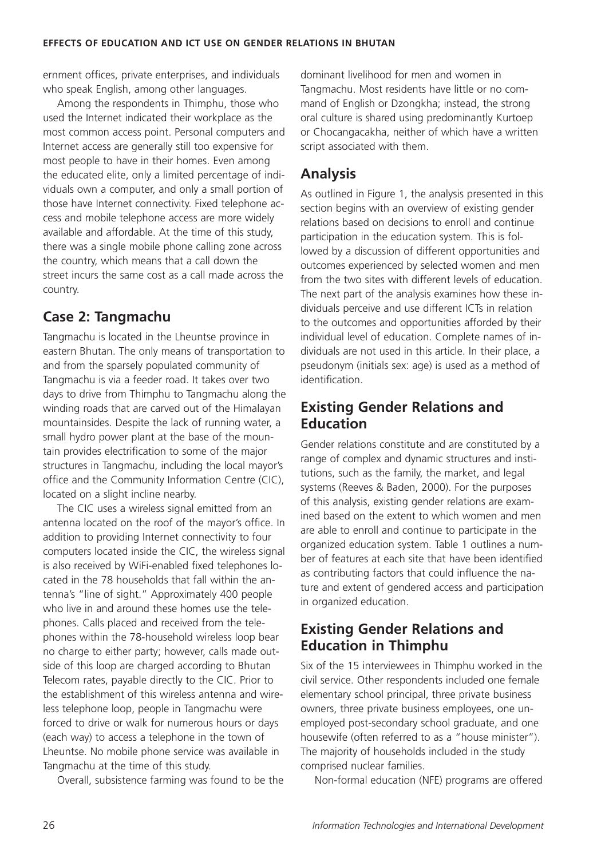ernment offices, private enterprises, and individuals who speak English, among other languages.

Among the respondents in Thimphu, those who used the Internet indicated their workplace as the most common access point. Personal computers and Internet access are generally still too expensive for most people to have in their homes. Even among the educated elite, only a limited percentage of individuals own a computer, and only a small portion of those have Internet connectivity. Fixed telephone access and mobile telephone access are more widely available and affordable. At the time of this study, there was a single mobile phone calling zone across the country, which means that a call down the street incurs the same cost as a call made across the country.

# **Case 2: Tangmachu**

Tangmachu is located in the Lheuntse province in eastern Bhutan. The only means of transportation to and from the sparsely populated community of Tangmachu is via a feeder road. It takes over two days to drive from Thimphu to Tangmachu along the winding roads that are carved out of the Himalayan mountainsides. Despite the lack of running water, a small hydro power plant at the base of the mountain provides electrification to some of the major structures in Tangmachu, including the local mayor's office and the Community Information Centre (CIC), located on a slight incline nearby.

The CIC uses a wireless signal emitted from an antenna located on the roof of the mayor's office. In addition to providing Internet connectivity to four computers located inside the CIC, the wireless signal is also received by WiFi-enabled fixed telephones located in the 78 households that fall within the antenna's "line of sight." Approximately 400 people who live in and around these homes use the telephones. Calls placed and received from the telephones within the 78-household wireless loop bear no charge to either party; however, calls made outside of this loop are charged according to Bhutan Telecom rates, payable directly to the CIC. Prior to the establishment of this wireless antenna and wireless telephone loop, people in Tangmachu were forced to drive or walk for numerous hours or days (each way) to access a telephone in the town of Lheuntse. No mobile phone service was available in Tangmachu at the time of this study.

Overall, subsistence farming was found to be the

dominant livelihood for men and women in Tangmachu. Most residents have little or no command of English or Dzongkha; instead, the strong oral culture is shared using predominantly Kurtoep or Chocangacakha, neither of which have a written script associated with them.

# **Analysis**

As outlined in Figure 1, the analysis presented in this section begins with an overview of existing gender relations based on decisions to enroll and continue participation in the education system. This is followed by a discussion of different opportunities and outcomes experienced by selected women and men from the two sites with different levels of education. The next part of the analysis examines how these individuals perceive and use different ICTs in relation to the outcomes and opportunities afforded by their individual level of education. Complete names of individuals are not used in this article. In their place, a pseudonym (initials sex: age) is used as a method of identification

# **Existing Gender Relations and Education**

Gender relations constitute and are constituted by a range of complex and dynamic structures and institutions, such as the family, the market, and legal systems (Reeves & Baden, 2000). For the purposes of this analysis, existing gender relations are examined based on the extent to which women and men are able to enroll and continue to participate in the organized education system. Table 1 outlines a number of features at each site that have been identified as contributing factors that could influence the nature and extent of gendered access and participation in organized education.

# **Existing Gender Relations and Education in Thimphu**

Six of the 15 interviewees in Thimphu worked in the civil service. Other respondents included one female elementary school principal, three private business owners, three private business employees, one unemployed post-secondary school graduate, and one housewife (often referred to as a "house minister"). The majority of households included in the study comprised nuclear families.

Non-formal education (NFE) programs are offered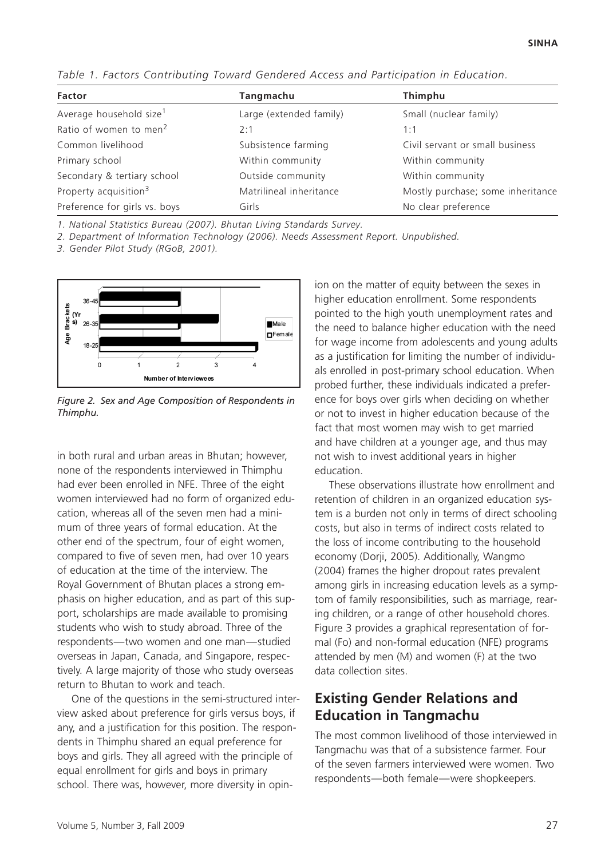| Factor                              | Tangmachu               | Thimphu                           |
|-------------------------------------|-------------------------|-----------------------------------|
| Average household size <sup>1</sup> | Large (extended family) | Small (nuclear family)            |
| Ratio of women to men <sup>2</sup>  | 2:1                     | 1:1                               |
| Common livelihood                   | Subsistence farming     | Civil servant or small business   |
| Primary school                      | Within community        | Within community                  |
| Secondary & tertiary school         | Outside community       | Within community                  |
| Property acquisition <sup>3</sup>   | Matrilineal inheritance | Mostly purchase; some inheritance |
| Preference for girls vs. boys       | Girls                   | No clear preference               |

*Table 1. Factors Contributing Toward Gendered Access and Participation in Education.*

*1. National Statistics Bureau (2007). Bhutan Living Standards Survey.*

*2. Department of Information Technology (2006). Needs Assessment Report. Unpublished.*

*3. Gender Pilot Study (RGoB, 2001).*



*Figure 2. Sex and Age Composition of Respondents in Thimphu.*

in both rural and urban areas in Bhutan; however, none of the respondents interviewed in Thimphu had ever been enrolled in NFE. Three of the eight women interviewed had no form of organized education, whereas all of the seven men had a minimum of three years of formal education. At the other end of the spectrum, four of eight women, compared to five of seven men, had over 10 years of education at the time of the interview. The Royal Government of Bhutan places a strong emphasis on higher education, and as part of this support, scholarships are made available to promising students who wish to study abroad. Three of the respondents—two women and one man—studied overseas in Japan, Canada, and Singapore, respectively. A large majority of those who study overseas return to Bhutan to work and teach.

One of the questions in the semi-structured interview asked about preference for girls versus boys, if any, and a justification for this position. The respondents in Thimphu shared an equal preference for boys and girls. They all agreed with the principle of equal enrollment for girls and boys in primary school. There was, however, more diversity in opinion on the matter of equity between the sexes in higher education enrollment. Some respondents pointed to the high youth unemployment rates and the need to balance higher education with the need for wage income from adolescents and young adults as a justification for limiting the number of individuals enrolled in post-primary school education. When probed further, these individuals indicated a preference for boys over girls when deciding on whether or not to invest in higher education because of the fact that most women may wish to get married and have children at a younger age, and thus may not wish to invest additional years in higher education.

These observations illustrate how enrollment and retention of children in an organized education system is a burden not only in terms of direct schooling costs, but also in terms of indirect costs related to the loss of income contributing to the household economy (Dorji, 2005). Additionally, Wangmo (2004) frames the higher dropout rates prevalent among girls in increasing education levels as a symptom of family responsibilities, such as marriage, rearing children, or a range of other household chores. Figure 3 provides a graphical representation of formal (Fo) and non-formal education (NFE) programs attended by men (M) and women (F) at the two data collection sites.

## **Existing Gender Relations and Education in Tangmachu**

The most common livelihood of those interviewed in Tangmachu was that of a subsistence farmer. Four of the seven farmers interviewed were women. Two respondents—both female—were shopkeepers.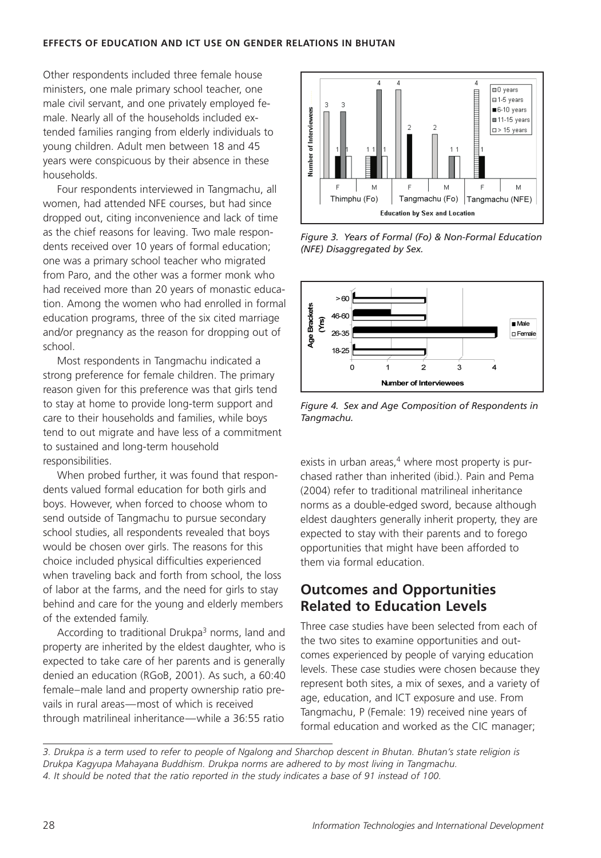#### **EFFECTS OF EDUCATION AND ICT USE ON GENDER RELATIONS IN BHUTAN**

Other respondents included three female house ministers, one male primary school teacher, one male civil servant, and one privately employed female. Nearly all of the households included extended families ranging from elderly individuals to young children. Adult men between 18 and 45 years were conspicuous by their absence in these households.

Four respondents interviewed in Tangmachu, all women, had attended NFE courses, but had since dropped out, citing inconvenience and lack of time as the chief reasons for leaving. Two male respondents received over 10 years of formal education; one was a primary school teacher who migrated from Paro, and the other was a former monk who had received more than 20 years of monastic education. Among the women who had enrolled in formal education programs, three of the six cited marriage and/or pregnancy as the reason for dropping out of school.

Most respondents in Tangmachu indicated a strong preference for female children. The primary reason given for this preference was that girls tend to stay at home to provide long-term support and care to their households and families, while boys tend to out migrate and have less of a commitment to sustained and long-term household responsibilities.

When probed further, it was found that respondents valued formal education for both girls and boys. However, when forced to choose whom to send outside of Tangmachu to pursue secondary school studies, all respondents revealed that boys would be chosen over girls. The reasons for this choice included physical difficulties experienced when traveling back and forth from school, the loss of labor at the farms, and the need for girls to stay behind and care for the young and elderly members of the extended family.

According to traditional Drukpa<sup>3</sup> norms, land and property are inherited by the eldest daughter, who is expected to take care of her parents and is generally denied an education (RGoB, 2001). As such, a 60:40 female–male land and property ownership ratio prevails in rural areas—most of which is received through matrilineal inheritance—while a 36:55 ratio



*Figure 3. Years of Formal (Fo) & Non-Formal Education (NFE) Disaggregated by Sex.*



*Figure 4. Sex and Age Composition of Respondents in Tangmachu.*

exists in urban areas, $4$  where most property is purchased rather than inherited (ibid.). Pain and Pema (2004) refer to traditional matrilineal inheritance norms as a double-edged sword, because although eldest daughters generally inherit property, they are expected to stay with their parents and to forego opportunities that might have been afforded to them via formal education.

### **Outcomes and Opportunities Related to Education Levels**

Three case studies have been selected from each of the two sites to examine opportunities and outcomes experienced by people of varying education levels. These case studies were chosen because they represent both sites, a mix of sexes, and a variety of age, education, and ICT exposure and use. From Tangmachu, P (Female: 19) received nine years of formal education and worked as the CIC manager;

*3. Drukpa is a term used to refer to people of Ngalong and Sharchop descent in Bhutan. Bhutan's state religion is Drukpa Kagyupa Mahayana Buddhism. Drukpa norms are adhered to by most living in Tangmachu. 4. It should be noted that the ratio reported in the study indicates a base of 91 instead of 100.*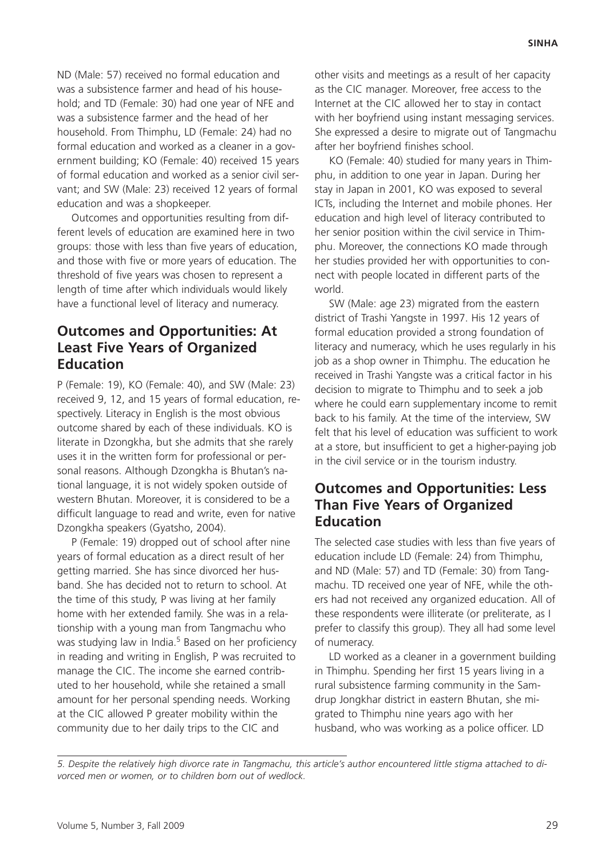ND (Male: 57) received no formal education and was a subsistence farmer and head of his household; and TD (Female: 30) had one year of NFE and was a subsistence farmer and the head of her household. From Thimphu, LD (Female: 24) had no formal education and worked as a cleaner in a government building; KO (Female: 40) received 15 years of formal education and worked as a senior civil servant; and SW (Male: 23) received 12 years of formal education and was a shopkeeper.

Outcomes and opportunities resulting from different levels of education are examined here in two groups: those with less than five years of education, and those with five or more years of education. The threshold of five years was chosen to represent a length of time after which individuals would likely have a functional level of literacy and numeracy.

### **Outcomes and Opportunities: At Least Five Years of Organized Education**

P (Female: 19), KO (Female: 40), and SW (Male: 23) received 9, 12, and 15 years of formal education, respectively. Literacy in English is the most obvious outcome shared by each of these individuals. KO is literate in Dzongkha, but she admits that she rarely uses it in the written form for professional or personal reasons. Although Dzongkha is Bhutan's national language, it is not widely spoken outside of western Bhutan. Moreover, it is considered to be a difficult language to read and write, even for native Dzongkha speakers (Gyatsho, 2004).

P (Female: 19) dropped out of school after nine years of formal education as a direct result of her getting married. She has since divorced her husband. She has decided not to return to school. At the time of this study, P was living at her family home with her extended family. She was in a relationship with a young man from Tangmachu who was studying law in India.<sup>5</sup> Based on her proficiency in reading and writing in English, P was recruited to manage the CIC. The income she earned contributed to her household, while she retained a small amount for her personal spending needs. Working at the CIC allowed P greater mobility within the community due to her daily trips to the CIC and

other visits and meetings as a result of her capacity as the CIC manager. Moreover, free access to the Internet at the CIC allowed her to stay in contact with her boyfriend using instant messaging services. She expressed a desire to migrate out of Tangmachu after her boyfriend finishes school.

KO (Female: 40) studied for many years in Thimphu, in addition to one year in Japan. During her stay in Japan in 2001, KO was exposed to several ICTs, including the Internet and mobile phones. Her education and high level of literacy contributed to her senior position within the civil service in Thimphu. Moreover, the connections KO made through her studies provided her with opportunities to connect with people located in different parts of the world.

SW (Male: age 23) migrated from the eastern district of Trashi Yangste in 1997. His 12 years of formal education provided a strong foundation of literacy and numeracy, which he uses regularly in his job as a shop owner in Thimphu. The education he received in Trashi Yangste was a critical factor in his decision to migrate to Thimphu and to seek a job where he could earn supplementary income to remit back to his family. At the time of the interview, SW felt that his level of education was sufficient to work at a store, but insufficient to get a higher-paying job in the civil service or in the tourism industry.

### **Outcomes and Opportunities: Less Than Five Years of Organized Education**

The selected case studies with less than five years of education include LD (Female: 24) from Thimphu, and ND (Male: 57) and TD (Female: 30) from Tangmachu. TD received one year of NFE, while the others had not received any organized education. All of these respondents were illiterate (or preliterate, as I prefer to classify this group). They all had some level of numeracy.

LD worked as a cleaner in a government building in Thimphu. Spending her first 15 years living in a rural subsistence farming community in the Samdrup Jongkhar district in eastern Bhutan, she migrated to Thimphu nine years ago with her husband, who was working as a police officer. LD

*5. Despite the relatively high divorce rate in Tangmachu, this article's author encountered little stigma attached to divorced men or women, or to children born out of wedlock.*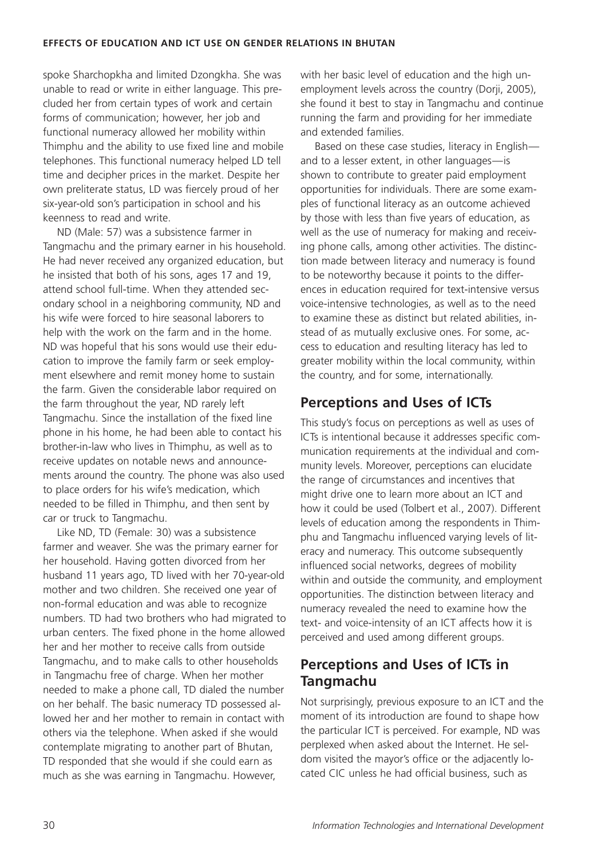spoke Sharchopkha and limited Dzongkha. She was unable to read or write in either language. This precluded her from certain types of work and certain forms of communication; however, her job and functional numeracy allowed her mobility within Thimphu and the ability to use fixed line and mobile telephones. This functional numeracy helped LD tell time and decipher prices in the market. Despite her own preliterate status, LD was fiercely proud of her six-year-old son's participation in school and his keenness to read and write.

ND (Male: 57) was a subsistence farmer in Tangmachu and the primary earner in his household. He had never received any organized education, but he insisted that both of his sons, ages 17 and 19, attend school full-time. When they attended secondary school in a neighboring community, ND and his wife were forced to hire seasonal laborers to help with the work on the farm and in the home. ND was hopeful that his sons would use their education to improve the family farm or seek employment elsewhere and remit money home to sustain the farm. Given the considerable labor required on the farm throughout the year, ND rarely left Tangmachu. Since the installation of the fixed line phone in his home, he had been able to contact his brother-in-law who lives in Thimphu, as well as to receive updates on notable news and announcements around the country. The phone was also used to place orders for his wife's medication, which needed to be filled in Thimphu, and then sent by car or truck to Tangmachu.

Like ND, TD (Female: 30) was a subsistence farmer and weaver. She was the primary earner for her household. Having gotten divorced from her husband 11 years ago, TD lived with her 70-year-old mother and two children. She received one year of non-formal education and was able to recognize numbers. TD had two brothers who had migrated to urban centers. The fixed phone in the home allowed her and her mother to receive calls from outside Tangmachu, and to make calls to other households in Tangmachu free of charge. When her mother needed to make a phone call, TD dialed the number on her behalf. The basic numeracy TD possessed allowed her and her mother to remain in contact with others via the telephone. When asked if she would contemplate migrating to another part of Bhutan, TD responded that she would if she could earn as much as she was earning in Tangmachu. However,

with her basic level of education and the high unemployment levels across the country (Dorji, 2005), she found it best to stay in Tangmachu and continue running the farm and providing for her immediate and extended families.

Based on these case studies, literacy in English and to a lesser extent, in other languages—is shown to contribute to greater paid employment opportunities for individuals. There are some examples of functional literacy as an outcome achieved by those with less than five years of education, as well as the use of numeracy for making and receiving phone calls, among other activities. The distinction made between literacy and numeracy is found to be noteworthy because it points to the differences in education required for text-intensive versus voice-intensive technologies, as well as to the need to examine these as distinct but related abilities, instead of as mutually exclusive ones. For some, access to education and resulting literacy has led to greater mobility within the local community, within the country, and for some, internationally.

# **Perceptions and Uses of ICTs**

This study's focus on perceptions as well as uses of ICTs is intentional because it addresses specific communication requirements at the individual and community levels. Moreover, perceptions can elucidate the range of circumstances and incentives that might drive one to learn more about an ICT and how it could be used (Tolbert et al., 2007). Different levels of education among the respondents in Thimphu and Tangmachu influenced varying levels of literacy and numeracy. This outcome subsequently influenced social networks, degrees of mobility within and outside the community, and employment opportunities. The distinction between literacy and numeracy revealed the need to examine how the text- and voice-intensity of an ICT affects how it is perceived and used among different groups.

# **Perceptions and Uses of ICTs in Tangmachu**

Not surprisingly, previous exposure to an ICT and the moment of its introduction are found to shape how the particular ICT is perceived. For example, ND was perplexed when asked about the Internet. He seldom visited the mayor's office or the adjacently located CIC unless he had official business, such as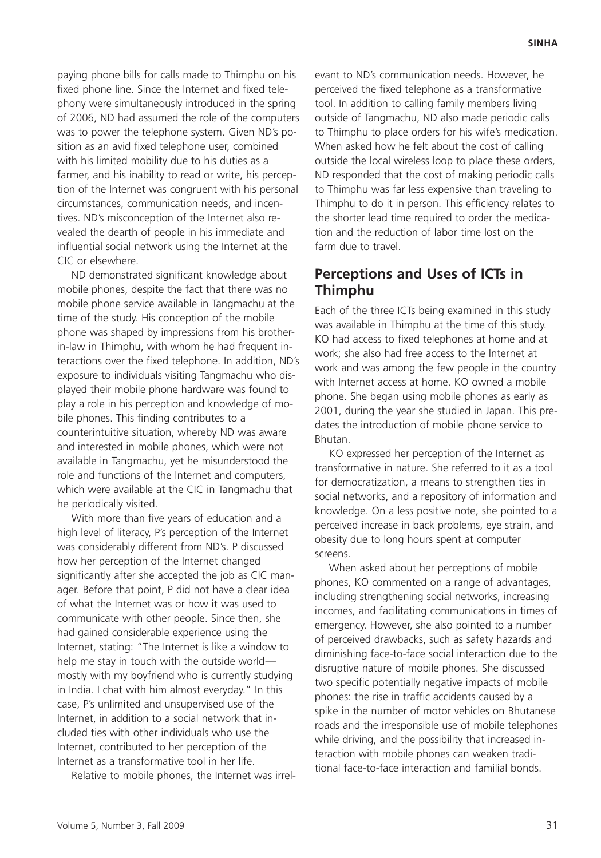paying phone bills for calls made to Thimphu on his fixed phone line. Since the Internet and fixed telephony were simultaneously introduced in the spring of 2006, ND had assumed the role of the computers was to power the telephone system. Given ND's position as an avid fixed telephone user, combined with his limited mobility due to his duties as a farmer, and his inability to read or write, his perception of the Internet was congruent with his personal circumstances, communication needs, and incentives. ND's misconception of the Internet also revealed the dearth of people in his immediate and influential social network using the Internet at the CIC or elsewhere.

ND demonstrated significant knowledge about mobile phones, despite the fact that there was no mobile phone service available in Tangmachu at the time of the study. His conception of the mobile phone was shaped by impressions from his brotherin-law in Thimphu, with whom he had frequent interactions over the fixed telephone. In addition, ND's exposure to individuals visiting Tangmachu who displayed their mobile phone hardware was found to play a role in his perception and knowledge of mobile phones. This finding contributes to a counterintuitive situation, whereby ND was aware and interested in mobile phones, which were not available in Tangmachu, yet he misunderstood the role and functions of the Internet and computers, which were available at the CIC in Tangmachu that he periodically visited.

With more than five years of education and a high level of literacy, P's perception of the Internet was considerably different from ND's. P discussed how her perception of the Internet changed significantly after she accepted the job as CIC manager. Before that point, P did not have a clear idea of what the Internet was or how it was used to communicate with other people. Since then, she had gained considerable experience using the Internet, stating: "The Internet is like a window to help me stay in touch with the outside world mostly with my boyfriend who is currently studying in India. I chat with him almost everyday." In this case, P's unlimited and unsupervised use of the Internet, in addition to a social network that included ties with other individuals who use the Internet, contributed to her perception of the Internet as a transformative tool in her life.

Relative to mobile phones, the Internet was irrel-

evant to ND's communication needs. However, he perceived the fixed telephone as a transformative tool. In addition to calling family members living outside of Tangmachu, ND also made periodic calls to Thimphu to place orders for his wife's medication. When asked how he felt about the cost of calling outside the local wireless loop to place these orders, ND responded that the cost of making periodic calls to Thimphu was far less expensive than traveling to Thimphu to do it in person. This efficiency relates to the shorter lead time required to order the medication and the reduction of labor time lost on the farm due to travel.

#### **Perceptions and Uses of ICTs in Thimphu**

Each of the three ICTs being examined in this study was available in Thimphu at the time of this study. KO had access to fixed telephones at home and at work; she also had free access to the Internet at work and was among the few people in the country with Internet access at home. KO owned a mobile phone. She began using mobile phones as early as 2001, during the year she studied in Japan. This predates the introduction of mobile phone service to Bhutan.

KO expressed her perception of the Internet as transformative in nature. She referred to it as a tool for democratization, a means to strengthen ties in social networks, and a repository of information and knowledge. On a less positive note, she pointed to a perceived increase in back problems, eye strain, and obesity due to long hours spent at computer screens.

When asked about her perceptions of mobile phones, KO commented on a range of advantages, including strengthening social networks, increasing incomes, and facilitating communications in times of emergency. However, she also pointed to a number of perceived drawbacks, such as safety hazards and diminishing face-to-face social interaction due to the disruptive nature of mobile phones. She discussed two specific potentially negative impacts of mobile phones: the rise in traffic accidents caused by a spike in the number of motor vehicles on Bhutanese roads and the irresponsible use of mobile telephones while driving, and the possibility that increased interaction with mobile phones can weaken traditional face-to-face interaction and familial bonds.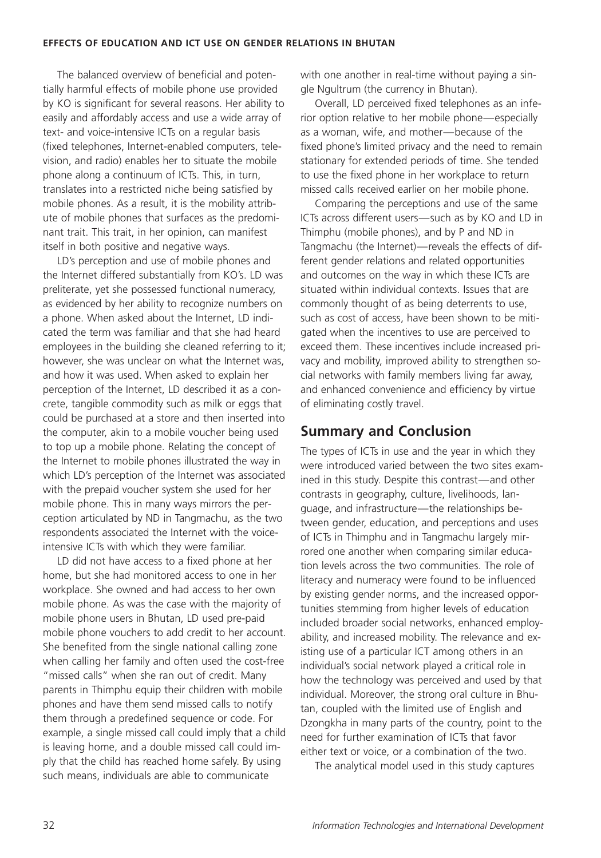#### **EFFECTS OF EDUCATION AND ICT USE ON GENDER RELATIONS IN BHUTAN**

The balanced overview of beneficial and potentially harmful effects of mobile phone use provided by KO is significant for several reasons. Her ability to easily and affordably access and use a wide array of text- and voice-intensive ICTs on a regular basis (fixed telephones, Internet-enabled computers, television, and radio) enables her to situate the mobile phone along a continuum of ICTs. This, in turn, translates into a restricted niche being satisfied by mobile phones. As a result, it is the mobility attribute of mobile phones that surfaces as the predominant trait. This trait, in her opinion, can manifest itself in both positive and negative ways.

LD's perception and use of mobile phones and the Internet differed substantially from KO's. LD was preliterate, yet she possessed functional numeracy, as evidenced by her ability to recognize numbers on a phone. When asked about the Internet, LD indicated the term was familiar and that she had heard employees in the building she cleaned referring to it; however, she was unclear on what the Internet was, and how it was used. When asked to explain her perception of the Internet, LD described it as a concrete, tangible commodity such as milk or eggs that could be purchased at a store and then inserted into the computer, akin to a mobile voucher being used to top up a mobile phone. Relating the concept of the Internet to mobile phones illustrated the way in which LD's perception of the Internet was associated with the prepaid voucher system she used for her mobile phone. This in many ways mirrors the perception articulated by ND in Tangmachu, as the two respondents associated the Internet with the voiceintensive ICTs with which they were familiar.

LD did not have access to a fixed phone at her home, but she had monitored access to one in her workplace. She owned and had access to her own mobile phone. As was the case with the majority of mobile phone users in Bhutan, LD used pre-paid mobile phone vouchers to add credit to her account. She benefited from the single national calling zone when calling her family and often used the cost-free "missed calls" when she ran out of credit. Many parents in Thimphu equip their children with mobile phones and have them send missed calls to notify them through a predefined sequence or code. For example, a single missed call could imply that a child is leaving home, and a double missed call could imply that the child has reached home safely. By using such means, individuals are able to communicate

with one another in real-time without paying a single Ngultrum (the currency in Bhutan).

Overall, LD perceived fixed telephones as an inferior option relative to her mobile phone—especially as a woman, wife, and mother—because of the fixed phone's limited privacy and the need to remain stationary for extended periods of time. She tended to use the fixed phone in her workplace to return missed calls received earlier on her mobile phone.

Comparing the perceptions and use of the same ICTs across different users—such as by KO and LD in Thimphu (mobile phones), and by P and ND in Tangmachu (the Internet)—reveals the effects of different gender relations and related opportunities and outcomes on the way in which these ICTs are situated within individual contexts. Issues that are commonly thought of as being deterrents to use, such as cost of access, have been shown to be mitigated when the incentives to use are perceived to exceed them. These incentives include increased privacy and mobility, improved ability to strengthen social networks with family members living far away, and enhanced convenience and efficiency by virtue of eliminating costly travel.

#### **Summary and Conclusion**

The types of ICTs in use and the year in which they were introduced varied between the two sites examined in this study. Despite this contrast—and other contrasts in geography, culture, livelihoods, language, and infrastructure—the relationships between gender, education, and perceptions and uses of ICTs in Thimphu and in Tangmachu largely mirrored one another when comparing similar education levels across the two communities. The role of literacy and numeracy were found to be influenced by existing gender norms, and the increased opportunities stemming from higher levels of education included broader social networks, enhanced employability, and increased mobility. The relevance and existing use of a particular ICT among others in an individual's social network played a critical role in how the technology was perceived and used by that individual. Moreover, the strong oral culture in Bhutan, coupled with the limited use of English and Dzongkha in many parts of the country, point to the need for further examination of ICTs that favor either text or voice, or a combination of the two.

The analytical model used in this study captures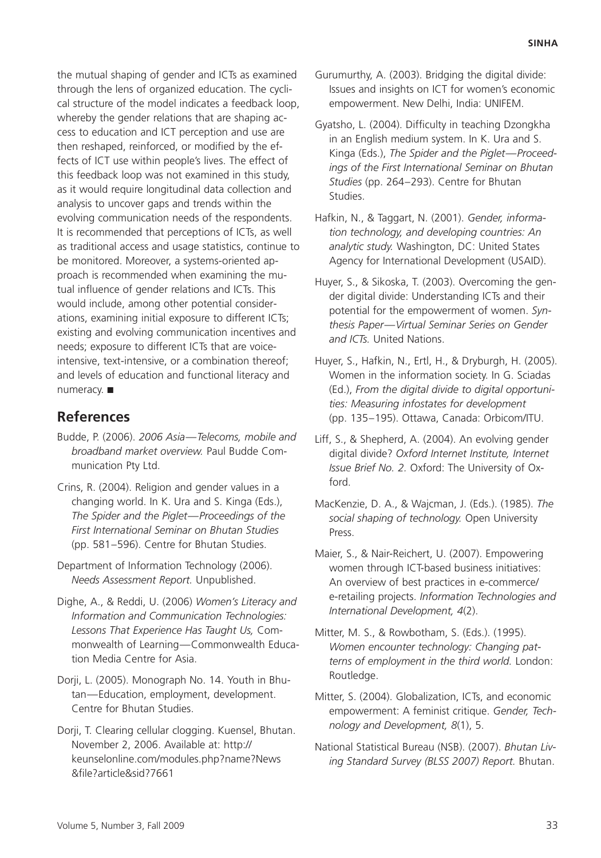the mutual shaping of gender and ICTs as examined through the lens of organized education. The cyclical structure of the model indicates a feedback loop, whereby the gender relations that are shaping access to education and ICT perception and use are then reshaped, reinforced, or modified by the effects of ICT use within people's lives. The effect of this feedback loop was not examined in this study, as it would require longitudinal data collection and analysis to uncover gaps and trends within the evolving communication needs of the respondents. It is recommended that perceptions of ICTs, as well as traditional access and usage statistics, continue to be monitored. Moreover, a systems-oriented approach is recommended when examining the mutual influence of gender relations and ICTs. This would include, among other potential considerations, examining initial exposure to different ICTs; existing and evolving communication incentives and needs; exposure to different ICTs that are voiceintensive, text-intensive, or a combination thereof; and levels of education and functional literacy and numeracy. ■

#### **References**

- Budde, P. (2006). *2006 Asia—Telecoms, mobile and broadband market overview.* Paul Budde Communication Pty Ltd.
- Crins, R. (2004). Religion and gender values in a changing world. In K. Ura and S. Kinga (Eds.), *The Spider and the Piglet—Proceedings of the First International Seminar on Bhutan Studies* (pp. 581–596). Centre for Bhutan Studies.
- Department of Information Technology (2006). *Needs Assessment Report.* Unpublished.
- Dighe, A., & Reddi, U. (2006) *Women's Literacy and Information and Communication Technologies: Lessons That Experience Has Taught Us,* Commonwealth of Learning—Commonwealth Education Media Centre for Asia.
- Dorji, L. (2005). Monograph No. 14. Youth in Bhutan—Education, employment, development. Centre for Bhutan Studies.
- Dorji, T. Clearing cellular clogging. Kuensel, Bhutan. November 2, 2006. Available at: http:// keunselonline.com/modules.php?name?News &ªle?article&sid?7661
- Gurumurthy, A. (2003). Bridging the digital divide: Issues and insights on ICT for women's economic empowerment. New Delhi, India: UNIFEM.
- Gyatsho, L. (2004). Difficulty in teaching Dzongkha in an English medium system. In K. Ura and S. Kinga (Eds.), *The Spider and the Piglet—Proceedings of the First International Seminar on Bhutan Studies* (pp. 264–293). Centre for Bhutan Studies.
- Hafkin, N., & Taggart, N. (2001). *Gender, information technology, and developing countries: An analytic study.* Washington, DC: United States Agency for International Development (USAID).
- Huyer, S., & Sikoska, T. (2003). Overcoming the gender digital divide: Understanding ICTs and their potential for the empowerment of women. *Synthesis Paper—Virtual Seminar Series on Gender and ICTs.* United Nations.
- Huyer, S., Hafkin, N., Ertl, H., & Dryburgh, H. (2005). Women in the information society. In G. Sciadas (Ed.), *From the digital divide to digital opportunities: Measuring infostates for development* (pp. 135–195). Ottawa, Canada: Orbicom/ITU.
- Liff, S., & Shepherd, A. (2004). An evolving gender digital divide? *Oxford Internet Institute, Internet Issue Brief No. 2.* Oxford: The University of Oxford.
- MacKenzie, D. A., & Wajcman, J. (Eds.). (1985). *The social shaping of technology.* Open University Press.
- Maier, S., & Nair-Reichert, U. (2007). Empowering women through ICT-based business initiatives: An overview of best practices in e-commerce/ e-retailing projects. *Information Technologies and International Development, 4*(2).
- Mitter, M. S., & Rowbotham, S. (Eds.). (1995). *Women encounter technology: Changing patterns of employment in the third world.* London: Routledge.
- Mitter, S. (2004). Globalization, ICTs, and economic empowerment: A feminist critique. *Gender, Technology and Development, 8*(1), 5.
- National Statistical Bureau (NSB). (2007). *Bhutan Living Standard Survey (BLSS 2007) Report.* Bhutan.